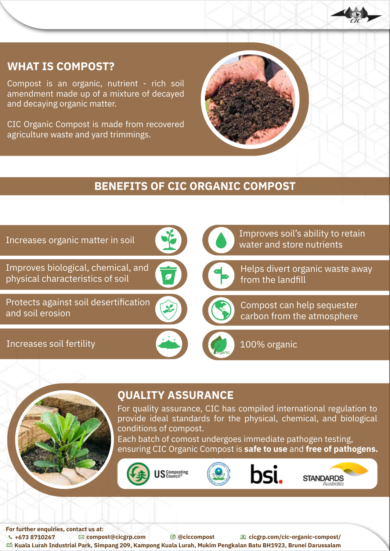

## **WHAT IS COMPOST?**

Compost is an organic, nutrient - rich soil amendment made up of a mixture of decayed and decaying organic matter.

CIC Organic Compost is made from recovered agriculture waste and yard trimmings.



# **BENEFITS OF CIC ORGANIC COMPOST**





#### **QUALITY ASSURANCE**

For quality assurance, CIC has compiled international regulation to provide ideal standards for the physical, chemical, and biological conditions of compost.

Each batch of comost undergoes immediate pathogen testing, ensuring CIC Organic Compost is **safe to use** and **free of pathogens.**









**For further enquiries, contact us at: +673 8710267 compost@cicgrp.com @ciccompost cicgrp.com/cic-organic-compost/ Kuala Lurah Industrial Park, Simpang 209, Kampong Kuala Lurah, Mukim Pengkalan Batu BH1923, Brunei Darussalam**